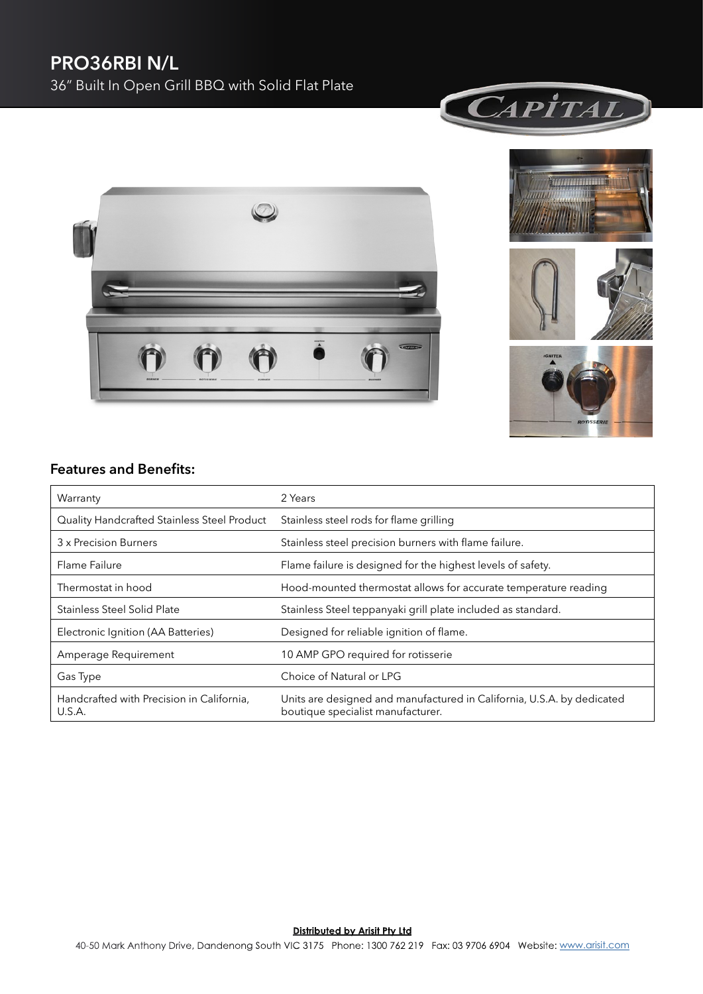## **PRO36RBI N/L** 36" Built In Open Grill BBQ with Solid Flat Plate







![](_page_0_Picture_4.jpeg)

![](_page_0_Picture_5.jpeg)

### **Features and Benefits:**

| Warranty                                            | 2 Years                                                                                                     |
|-----------------------------------------------------|-------------------------------------------------------------------------------------------------------------|
| Quality Handcrafted Stainless Steel Product         | Stainless steel rods for flame grilling                                                                     |
| 3 x Precision Burners                               | Stainless steel precision burners with flame failure.                                                       |
| Flame Failure                                       | Flame failure is designed for the highest levels of safety.                                                 |
| Thermostat in hood                                  | Hood-mounted thermostat allows for accurate temperature reading                                             |
| Stainless Steel Solid Plate                         | Stainless Steel teppanyaki grill plate included as standard.                                                |
| Electronic Ignition (AA Batteries)                  | Designed for reliable ignition of flame.                                                                    |
| Amperage Requirement                                | 10 AMP GPO required for rotisserie                                                                          |
| Gas Type                                            | Choice of Natural or LPG                                                                                    |
| Handcrafted with Precision in California,<br>U.S.A. | Units are designed and manufactured in California, U.S.A. by dedicated<br>boutique specialist manufacturer. |